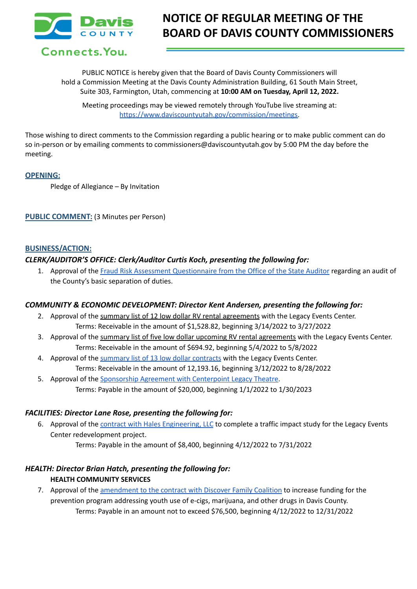

# **NOTICE OF REGULAR MEETING OF THE BOARD OF DAVIS COUNTY COMMISSIONERS**

PUBLIC NOTICE is hereby given that the Board of Davis County Commissioners will hold a Commission Meeting at the Davis County Administration Building, 61 South Main Street, Suite 303, Farmington, Utah, commencing at **10:00 AM on Tuesday, April 12, 2022.**

Meeting proceedings may be viewed remotely through YouTube live streaming at: [https://www.daviscountyutah.gov/commission/meetings.](https://www.daviscountyutah.gov/commission/meetings)

Those wishing to direct comments to the Commission regarding a public hearing or to make public comment can do so in-person or by emailing comments to commissioners@daviscountyutah.gov by 5:00 PM the day before the meeting.

## **OPENING:**

Pledge of Allegiance – By Invitation

**PUBLIC COMMENT:** (3 Minutes per Person)

## **BUSINESS/ACTION:**

# *CLERK/AUDITOR'S OFFICE: Clerk/Auditor Curtis Koch, presenting the following for:*

1. Approval of the Fraud Risk Assessment [Questionnaire](https://drive.google.com/file/d/1asK2WepK8vAPARdSolad0V7b2IuS15RH/view?usp=sharing) from the Office of the State Auditor regarding an audit of the County's basic separation of duties.

# *COMMUNITY & ECONOMIC DEVELOPMENT: Director Kent Andersen, presenting the following for:*

- 2. Approval of the summary list of 12 low dollar RV rental agreements with the Legacy Events Center. Terms: Receivable in the amount of \$1,528.82, beginning 3/14/2022 to 3/27/2022
- 3. Approval of the summary list of five low dollar upcoming RV rental agreements with the Legacy Events Center. Terms: Receivable in the amount of \$694.92, beginning 5/4/2022 to 5/8/2022
- 4. Approval of the [summary](https://drive.google.com/file/d/1Wi7tfkOb5dRZTOLlCv3IrhLryUmG5Lgx/view?usp=sharing) list of 13 low dollar contracts with the Legacy Events Center. Terms: Receivable in the amount of 12,193.16, beginning 3/12/2022 to 8/28/2022
- 5. Approval of the [Sponsorship](https://drive.google.com/file/d/1P3-pFGODHXLLcTFrv5ql41XzAhnON8_A/view?usp=sharing) Agreement with Centerpoint Legacy Theatre. Terms: Payable in the amount of \$20,000, beginning 1/1/2022 to 1/30/2023

# *FACILITIES: Director Lane Rose, presenting the following for:*

6. Approval of the **contract with Hales [Engineering,](https://drive.google.com/file/d/19b53uuNVwI6pkStr_pZLYOoQlXoxHb0z/view?usp=sharing) LLC** to complete a traffic impact study for the Legacy Events Center redevelopment project.

Terms: Payable in the amount of \$8,400, beginning 4/12/2022 to 7/31/2022

# *HEALTH: Director Brian Hatch, presenting the following for:* **HEALTH COMMUNITY SERVICES**

7. Approval of the [amendment](https://drive.google.com/file/d/1dOMHoOI-489w_eX2_9uPyL6sIOSChncB/view?usp=sharing) to the contract with Discover Family Coalition to increase funding for the prevention program addressing youth use of e-cigs, marijuana, and other drugs in Davis County. Terms: Payable in an amount not to exceed \$76,500, beginning 4/12/2022 to 12/31/2022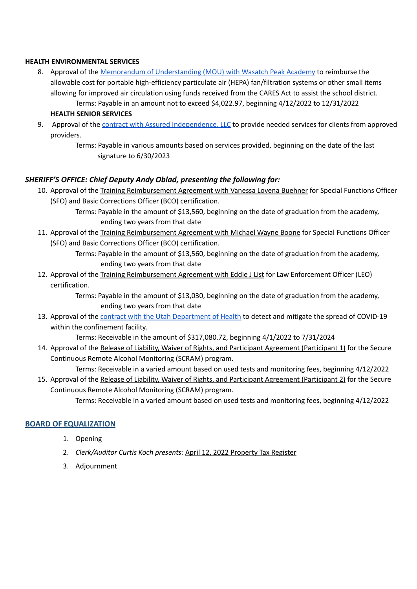## **HEALTH ENVIRONMENTAL SERVICES**

- 8. Approval of the Memorandum of [Understanding](https://drive.google.com/file/d/1hwlPGEoZhYrKpss6IJnixOAnNwIW8pmX/view?usp=sharing) (MOU) with Wasatch Peak Academy to reimburse the allowable cost for portable high-efficiency particulate air (HEPA) fan/filtration systems or other small items allowing for improved air circulation using funds received from the CARES Act to assist the school district. Terms: Payable in an amount not to exceed \$4,022.97, beginning 4/12/2022 to 12/31/2022
	- **HEALTH SENIOR SERVICES**
- 9. Approval of the contract with Assured [Independence,](https://drive.google.com/file/d/1YhQojoF9dX9yuOPM1m4-sXKgxGB00skg/view?usp=sharing) LLC to provide needed services for clients from approved providers.
	- Terms: Payable in various amounts based on services provided, beginning on the date of the last signature to 6/30/2023

# *SHERIFF'S OFFICE: Chief Deputy Andy Oblad, presenting the following for:*

- 10. Approval of the Training Reimbursement Agreement with Vanessa Lovena Buehner for Special Functions Officer (SFO) and Basic Corrections Officer (BCO) certification.
	- Terms: Payable in the amount of \$13,560, beginning on the date of graduation from the academy, ending two years from that date
- 11. Approval of the Training Reimbursement Agreement with Michael Wayne Boone for Special Functions Officer (SFO) and Basic Corrections Officer (BCO) certification.
	- Terms: Payable in the amount of \$13,560, beginning on the date of graduation from the academy, ending two years from that date
- 12. Approval of the Training Reimbursement Agreement with Eddie J List for Law Enforcement Officer (LEO) certification.

Terms: Payable in the amount of \$13,030, beginning on the date of graduation from the academy, ending two years from that date

13. Approval of the contract with the Utah [Department](https://drive.google.com/file/d/1v-RiH6OVWK2c9wmH0SkQP9pah-cBl5Yc/view?usp=sharing) of Health to detect and mitigate the spread of COVID-19 within the confinement facility.

Terms: Receivable in the amount of \$317,080.72, beginning 4/1/2022 to 7/31/2024

14. Approval of the Release of Liability, Waiver of Rights, and Participant Agreement (Participant 1) for the Secure Continuous Remote Alcohol Monitoring (SCRAM) program.

Terms: Receivable in a varied amount based on used tests and monitoring fees, beginning 4/12/2022

15. Approval of the Release of Liability, Waiver of Rights, and Participant Agreement (Participant 2) for the Secure Continuous Remote Alcohol Monitoring (SCRAM) program.

Terms: Receivable in a varied amount based on used tests and monitoring fees, beginning 4/12/2022

# **BOARD OF EQUALIZATION**

- 1. Opening
- 2. *Clerk/Auditor Curtis Koch presents:* April 12, 2022 Property Tax Register
- 3. Adjournment